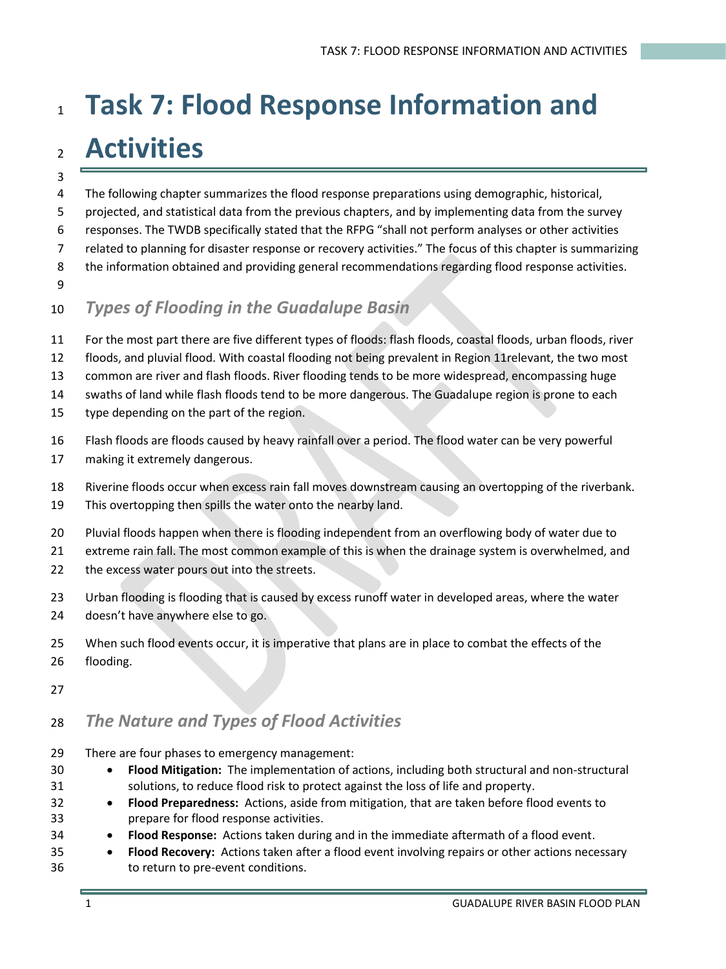# **Task 7: Flood Response Information and Activities**

- The following chapter summarizes the flood response preparations using demographic, historical,
- projected, and statistical data from the previous chapters, and by implementing data from the survey
- responses. The TWDB specifically stated that the RFPG "shall not perform analyses or other activities
- related to planning for disaster response or recovery activities." The focus of this chapter is summarizing
- the information obtained and providing general recommendations regarding flood response activities.
- 

### *Types of Flooding in the Guadalupe Basin*

- For the most part there are five different types of floods: flash floods, coastal floods, urban floods, river
- floods, and pluvial flood. With coastal flooding not being prevalent in Region 11relevant, the two most
- common are river and flash floods. River flooding tends to be more widespread, encompassing huge
- swaths of land while flash floods tend to be more dangerous. The Guadalupe region is prone to each
- type depending on the part of the region.
- Flash floods are floods caused by heavy rainfall over a period. The flood water can be very powerful
- making it extremely dangerous.
- Riverine floods occur when excess rain fall moves downstream causing an overtopping of the riverbank.
- This overtopping then spills the water onto the nearby land.
- Pluvial floods happen when there is flooding independent from an overflowing body of water due to
- extreme rain fall. The most common example of this is when the drainage system is overwhelmed, and
- 22 the excess water pours out into the streets.
- Urban flooding is flooding that is caused by excess runoff water in developed areas, where the water doesn't have anywhere else to go.
- When such flood events occur, it is imperative that plans are in place to combat the effects of the flooding.

## *The Nature and Types of Flood Activities*

- There are four phases to emergency management:
- **Flood Mitigation:** The implementation of actions, including both structural and non-structural solutions, to reduce flood risk to protect against the loss of life and property.
- **Flood Preparedness:** Actions, aside from mitigation, that are taken before flood events to prepare for flood response activities.
- **Flood Response:** Actions taken during and in the immediate aftermath of a flood event.
- **Flood Recovery:** Actions taken after a flood event involving repairs or other actions necessary to return to pre-event conditions.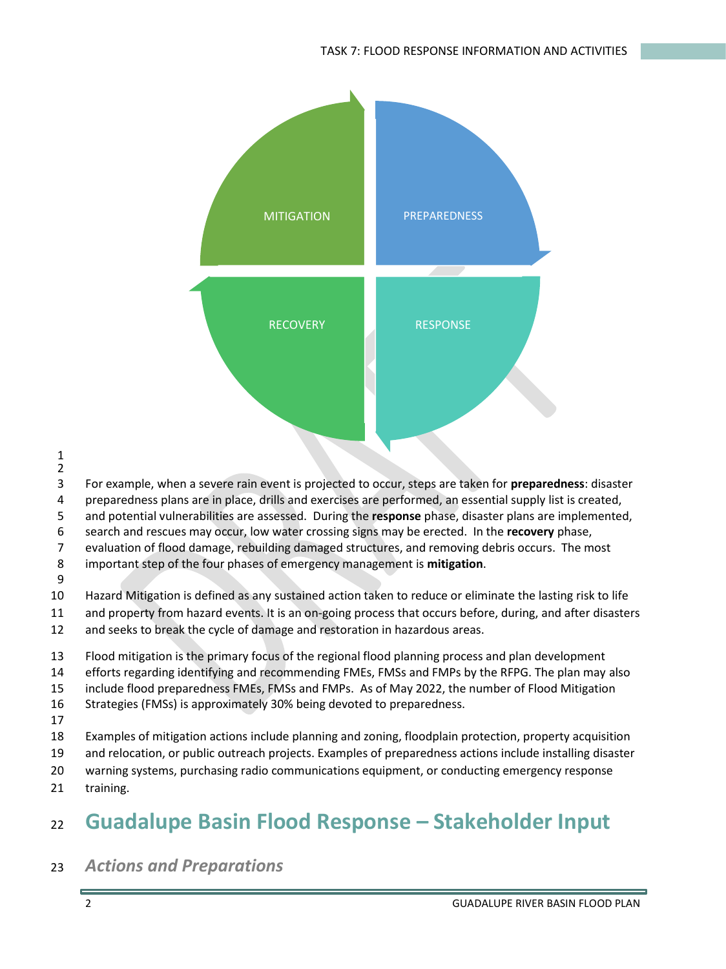

- For example, when a severe rain event is projected to occur, steps are taken for **preparedness**: disaster
- preparedness plans are in place, drills and exercises are performed, an essential supply list is created,
- and potential vulnerabilities are assessed. During the **response** phase, disaster plans are implemented,
- search and rescues may occur, low water crossing signs may be erected. In the **recovery** phase,
- evaluation of flood damage, rebuilding damaged structures, and removing debris occurs. The most

#### important step of the four phases of emergency management is **mitigation**.

 Hazard Mitigation is defined as any sustained action taken to reduce or eliminate the lasting risk to life and property from hazard events. It is an on-going process that occurs before, during, and after disasters

- and seeks to break the cycle of damage and restoration in hazardous areas.
- Flood mitigation is the primary focus of the regional flood planning process and plan development efforts regarding identifying and recommending FMEs, FMSs and FMPs by the RFPG. The plan may also include flood preparedness FMEs, FMSs and FMPs. As of May 2022, the number of Flood Mitigation Strategies (FMSs) is approximately 30% being devoted to preparedness.
- 
- Examples of mitigation actions include planning and zoning, floodplain protection, property acquisition
- and relocation, or public outreach projects. Examples of preparedness actions include installing disaster
- warning systems, purchasing radio communications equipment, or conducting emergency response
- training.

# **Guadalupe Basin Flood Response – Stakeholder Input**

### *Actions and Preparations*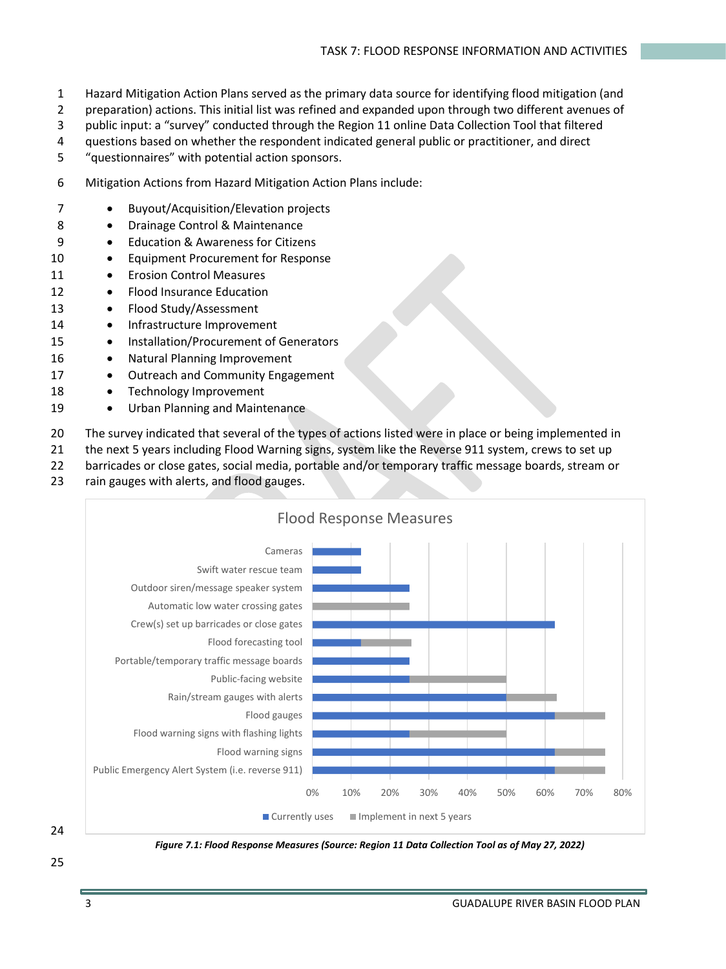- 1 Hazard Mitigation Action Plans served as the primary data source for identifying flood mitigation (and
- 2 preparation) actions. This initial list was refined and expanded upon through two different avenues of
- 3 public input: a "survey" conducted through the Region 11 online Data Collection Tool that filtered
- 4 questions based on whether the respondent indicated general public or practitioner, and direct
- 5 "questionnaires" with potential action sponsors.
- 6 Mitigation Actions from Hazard Mitigation Action Plans include:
- 7 Buyout/Acquisition/Elevation projects
- 8 Drainage Control & Maintenance
- 9 Education & Awareness for Citizens
- 10 Equipment Procurement for Response
- 11 Erosion Control Measures
- 12 Flood Insurance Education
- 13 Flood Study/Assessment
- 14 Infrastructure Improvement
- 15 Installation/Procurement of Generators
- 16 Natural Planning Improvement
- 17 Outreach and Community Engagement
- 18 Technology Improvement
- 19 Urban Planning and Maintenance
- 20 The survey indicated that several of the types of actions listed were in place or being implemented in
- 21 the next 5 years including Flood Warning signs, system like the Reverse 911 system, crews to set up
- 22 barricades or close gates, social media, portable and/or temporary traffic message boards, stream or
- 23 rain gauges with alerts, and flood gauges.





*Figure 7.1: Flood Response Measures (Source: Region 11 Data Collection Tool as of May 27, 2022)*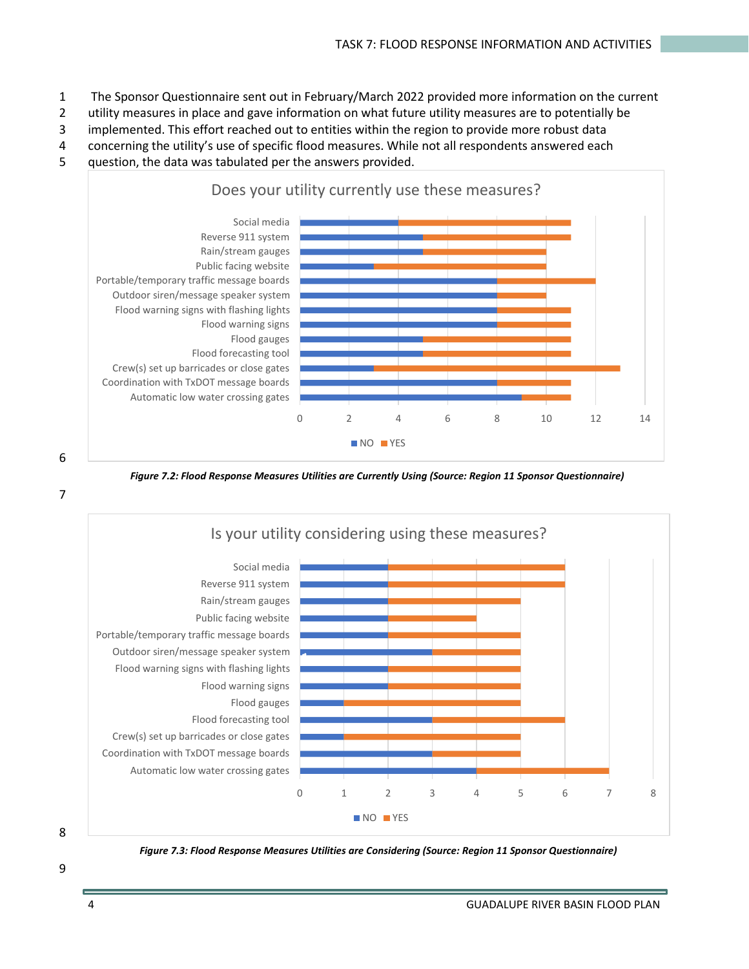- 1 The Sponsor Questionnaire sent out in February/March 2022 provided more information on the current
- 2 utility measures in place and gave information on what future utility measures are to potentially be
- 3 implemented. This effort reached out to entities within the region to provide more robust data
- 4 concerning the utility's use of specific flood measures. While not all respondents answered each
- 5 question, the data was tabulated per the answers provided.



6

*Figure 7.2: Flood Response Measures Utilities are Currently Using (Source: Region 11 Sponsor Questionnaire)*



8

*Figure 7.3: Flood Response Measures Utilities are Considering (Source: Region 11 Sponsor Questionnaire)*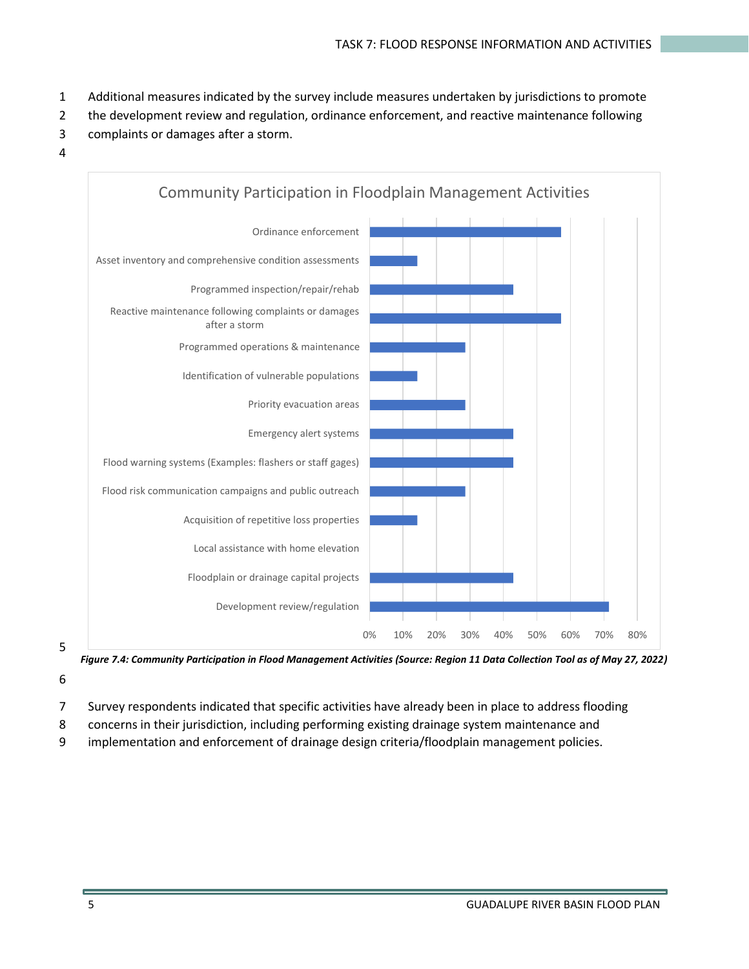- 1 Additional measures indicated by the survey include measures undertaken by jurisdictions to promote
- 2 the development review and regulation, ordinance enforcement, and reactive maintenance following
- 3 complaints or damages after a storm.
- 4



*Figure 7.4: Community Participation in Flood Management Activities (Source: Region 11 Data Collection Tool as of May 27, 2022)*

- 7 Survey respondents indicated that specific activities have already been in place to address flooding
- 8 concerns in their jurisdiction, including performing existing drainage system maintenance and
- 9 implementation and enforcement of drainage design criteria/floodplain management policies.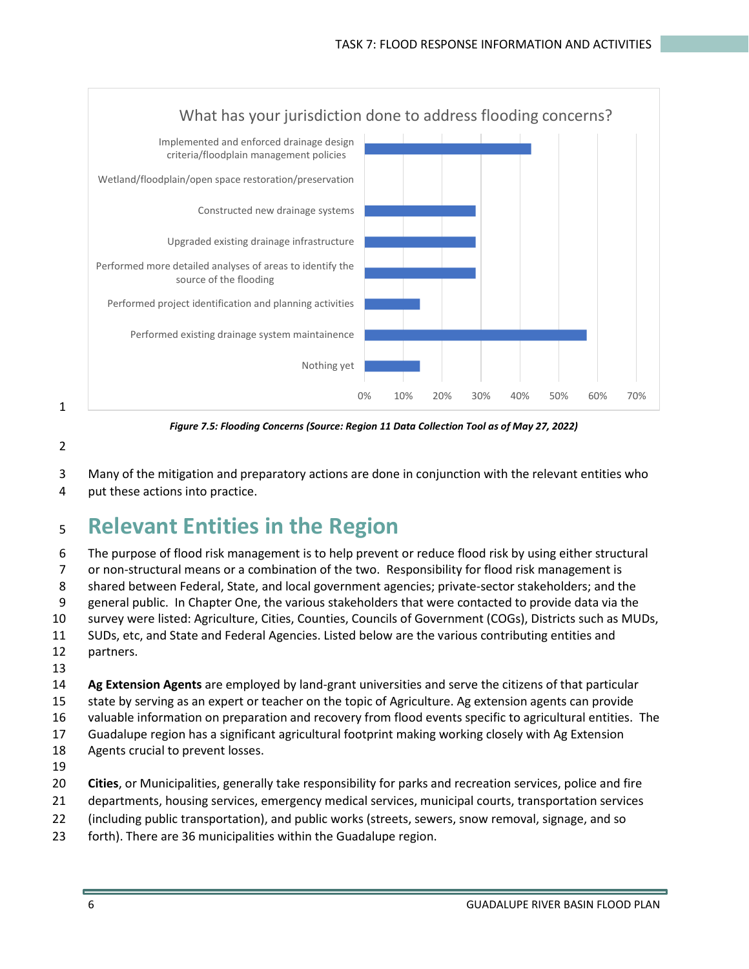

*Figure 7.5: Flooding Concerns (Source: Region 11 Data Collection Tool as of May 27, 2022)*

Many of the mitigation and preparatory actions are done in conjunction with the relevant entities who

put these actions into practice.

# **Relevant Entities in the Region**

 The purpose of flood risk management is to help prevent or reduce flood risk by using either structural or non-structural means or a combination of the two. Responsibility for flood risk management is shared between Federal, State, and local government agencies; private-sector stakeholders; and the general public. In Chapter One, the various stakeholders that were contacted to provide data via the survey were listed: Agriculture, Cities, Counties, Councils of Government (COGs), Districts such as MUDs, SUDs, etc, and State and Federal Agencies. Listed below are the various contributing entities and partners. **Ag Extension Agents** are employed by land-grant universities and serve the citizens of that particular

 state by serving as an expert or teacher on the topic of Agriculture. Ag extension agents can provide valuable information on preparation and recovery from flood events specific to agricultural entities. The

- Guadalupe region has a significant agricultural footprint making working closely with Ag Extension
- Agents crucial to prevent losses.
- 
- **Cities**, or Municipalities, generally take responsibility for parks and recreation services, police and fire
- departments, housing services, emergency medical services, municipal courts, transportation services
- (including public transportation), and public works (streets, sewers, snow removal, signage, and so
- forth). There are 36 municipalities within the Guadalupe region.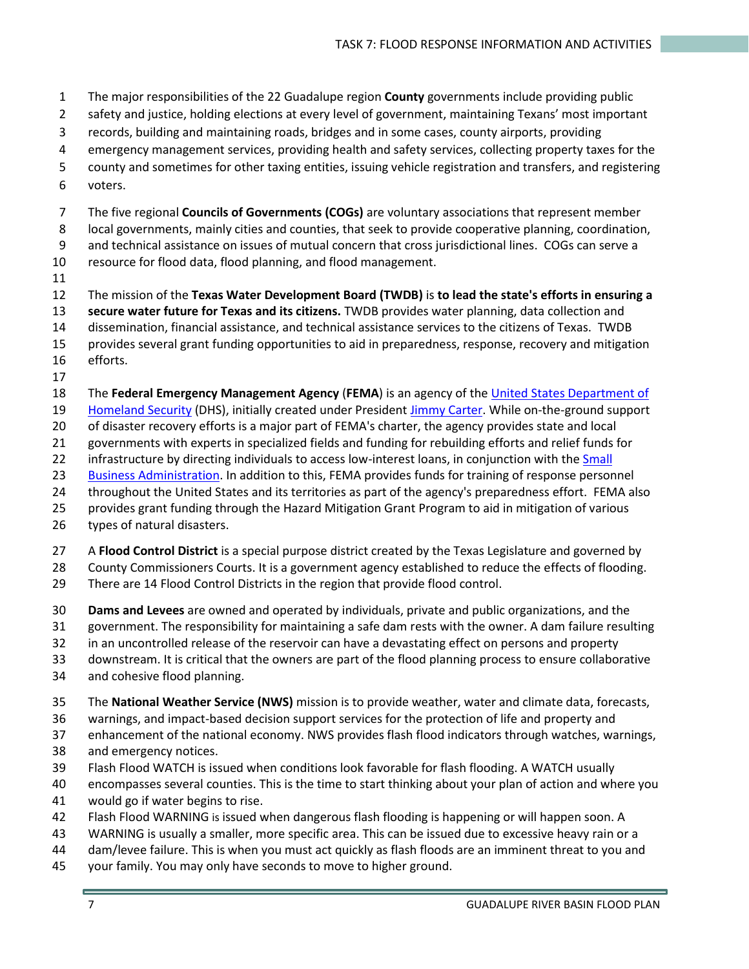The major responsibilities of the 22 Guadalupe region **County** governments include providing public

- safety and justice, holding elections at every level of government, maintaining Texans' most important
- records, building and maintaining roads, bridges and in some cases, county airports, providing
- emergency management services, providing health and safety services, collecting property taxes for the
- county and sometimes for other taxing entities, issuing vehicle registration and transfers, and registering
- voters.

The five regional **Councils of Governments (COGs)** are voluntary associations that represent member

local governments, mainly cities and counties, that seek to provide cooperative planning, coordination,

and technical assistance on issues of mutual concern that cross jurisdictional lines. COGs can serve a

- resource for flood data, flood planning, and flood management.
- 

The mission of the **Texas Water Development Board (TWDB)** is **to lead the state's efforts in ensuring a** 

**secure water future for Texas and its citizens.** TWDB provides water planning, data collection and

dissemination, financial assistance, and technical assistance services to the citizens of Texas. TWDB

 provides several grant funding opportunities to aid in preparedness, response, recovery and mitigation efforts.

The **Federal Emergency Management Agency** (**FEMA**) is an agency of th[e United States Department of](https://en.wikipedia.org/wiki/United_States_Department_of_Homeland_Security) 

[Homeland Security](https://en.wikipedia.org/wiki/United_States_Department_of_Homeland_Security) (DHS), initially created under President [Jimmy Carter.](https://en.wikipedia.org/wiki/Jimmy_Carter) While on-the-ground support

of disaster recovery efforts is a major part of FEMA's charter, the agency provides state and local

governments with experts in specialized fields and funding for rebuilding efforts and relief funds for

- 22 infrastructure by directing individuals to access low-interest loans, in conjunction with the Small
- [Business Administration.](https://en.wikipedia.org/wiki/Small_Business_Administration) In addition to this, FEMA provides funds for training of response personnel
- throughout the United States and its territories as part of the agency's preparedness effort. FEMA also
- provides grant funding through the Hazard Mitigation Grant Program to aid in mitigation of various
- types of natural disasters.
- A **Flood Control District** is a special purpose district created by the Texas Legislature and governed by

County Commissioners Courts. It is a government agency established to reduce the effects of flooding.

- There are 14 Flood Control Districts in the region that provide flood control.
- **Dams and Levees** are owned and operated by individuals, private and public organizations, and the
- government. The responsibility for maintaining a safe dam rests with the owner. A dam failure resulting
- in an uncontrolled release of the reservoir can have a devastating effect on persons and property
- downstream. It is critical that the owners are part of the flood planning process to ensure collaborative
- and cohesive flood planning.
- The **National Weather Service (NWS)** mission is to provide weather, water and climate data, forecasts,
- warnings, and impact-based decision support services for the protection of life and property and
- enhancement of the national economy. NWS provides flash flood indicators through watches, warnings,
- and emergency notices.
- Flash Flood WATCH is issued when conditions look favorable for flash flooding. A WATCH usually
- encompasses several counties. This is the time to start thinking about your plan of action and where you would go if water begins to rise.
- Flash Flood WARNING is issued when dangerous flash flooding is happening or will happen soon. A
- WARNING is usually a smaller, more specific area. This can be issued due to excessive heavy rain or a
- dam/levee failure. This is when you must act quickly as flash floods are an imminent threat to you and
- your family. You may only have seconds to move to higher ground.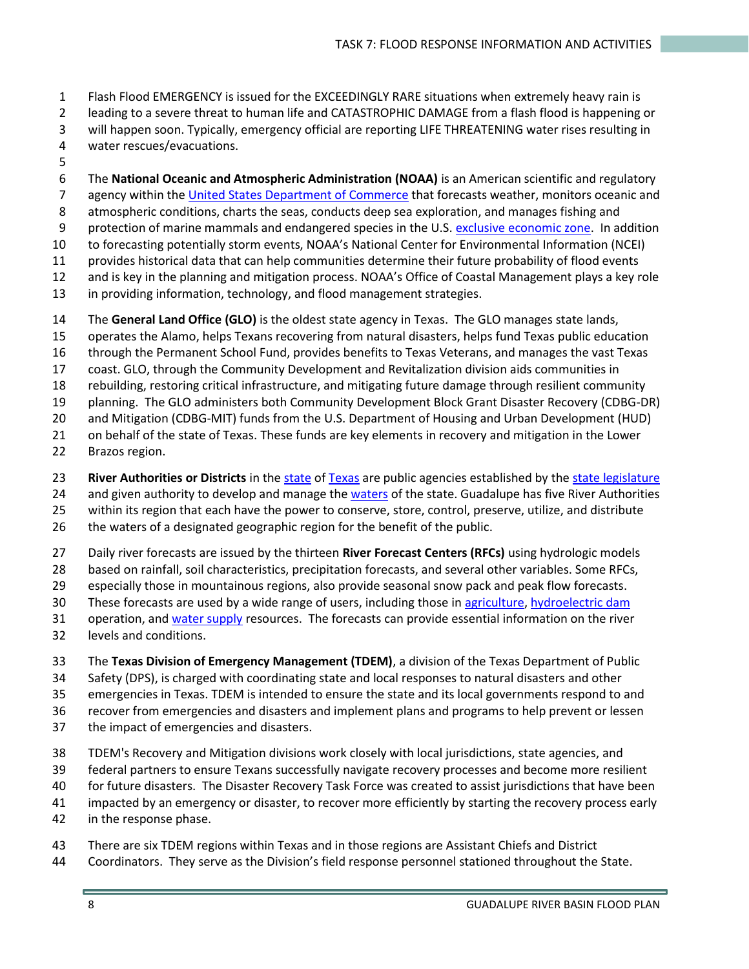- Flash Flood EMERGENCY is issued for the EXCEEDINGLY RARE situations when extremely heavy rain is
- leading to a severe threat to human life and CATASTROPHIC DAMAGE from a flash flood is happening or
- will happen soon. Typically, emergency official are reporting LIFE THREATENING water rises resulting in
- water rescues/evacuations.
- 

 The **National Oceanic and Atmospheric Administration (NOAA)** is an American scientific and regulatory 7 agency within the United States [Department of Commerce](https://en.wikipedia.org/wiki/United_States_Department_of_Commerce) that forecasts weather, monitors oceanic and atmospheric conditions, charts the seas, conducts deep sea exploration, and manages fishing and 9 protection of marine mammals and endangered species in the U.S[. exclusive economic zone.](https://en.wikipedia.org/wiki/Exclusive_economic_zone) In addition to forecasting potentially storm events, NOAA's National Center for Environmental Information (NCEI) provides historical data that can help communities determine their future probability of flood events and is key in the planning and mitigation process. NOAA's Office of Coastal Management plays a key role

- in providing information, technology, and flood management strategies.
- The **General Land Office (GLO)** is the oldest state agency in Texas. The GLO manages state lands,
- operates the Alamo, helps Texans recovering from natural disasters, helps fund Texas public education
- through the Permanent School Fund, provides benefits to Texas Veterans, and manages the vast Texas
- coast. GLO, through the Community Development and Revitalization division aids communities in
- rebuilding, restoring critical infrastructure, and mitigating future damage through resilient community
- planning. The GLO administers both Community Development Block Grant Disaster Recovery (CDBG-DR)
- and Mitigation (CDBG-MIT) funds from the U.S. Department of Housing and Urban Development (HUD)
- on behalf of the state of Texas. These funds are key elements in recovery and mitigation in the Lower
- Brazos region.
- **River Authorities or Districts** in the [state](https://en.wikipedia.org/wiki/U.S._state) o[f Texas](https://en.wikipedia.org/wiki/Texas) are public agencies established by the [state legislature](https://en.wikipedia.org/wiki/Texas_state_legislature)
- 24 and given authority to develop and manage the [waters](https://en.wikipedia.org/wiki/Water) of the state. Guadalupe has five River Authorities
- within its region that each have the power to conserve, store, control, preserve, utilize, and distribute
- the waters of a designated geographic region for the benefit of the public.
- Daily river forecasts are issued by the thirteen **River Forecast Centers (RFCs)** using hydrologic models
- based on rainfall, soil characteristics, precipitation forecasts, and several other variables. Some RFCs,
- especially those in mountainous regions, also provide seasonal snow pack and peak flow forecasts.
- These forecasts are used by a wide range of users, including those in [agriculture,](https://en.wikipedia.org/wiki/Agriculture) [hydroelectric dam](https://en.wikipedia.org/wiki/Hydroelectricity)
- 31 operation, an[d water supply](https://en.wikipedia.org/wiki/Water_resources) resources. The forecasts can provide essential information on the river
- levels and conditions.
- The **Texas Division of Emergency Management (TDEM)**, a division of the Texas Department of Public
- Safety (DPS), is charged with coordinating state and local responses to natural disasters and other
- emergencies in Texas. TDEM is intended to ensure the state and its local governments respond to and
- recover from emergencies and disasters and implement plans and programs to help prevent or lessen
- the impact of emergencies and disasters.
- TDEM's Recovery and Mitigation divisions work closely with local jurisdictions, state agencies, and
- federal partners to ensure Texans successfully navigate recovery processes and become more resilient
- for future disasters. The Disaster Recovery Task Force was created to assist jurisdictions that have been
- impacted by an emergency or disaster, to recover more efficiently by starting the recovery process early
- in the response phase.
- There are six TDEM regions within Texas and in those regions are Assistant Chiefs and District
- Coordinators. They serve as the Division's field response personnel stationed throughout the State.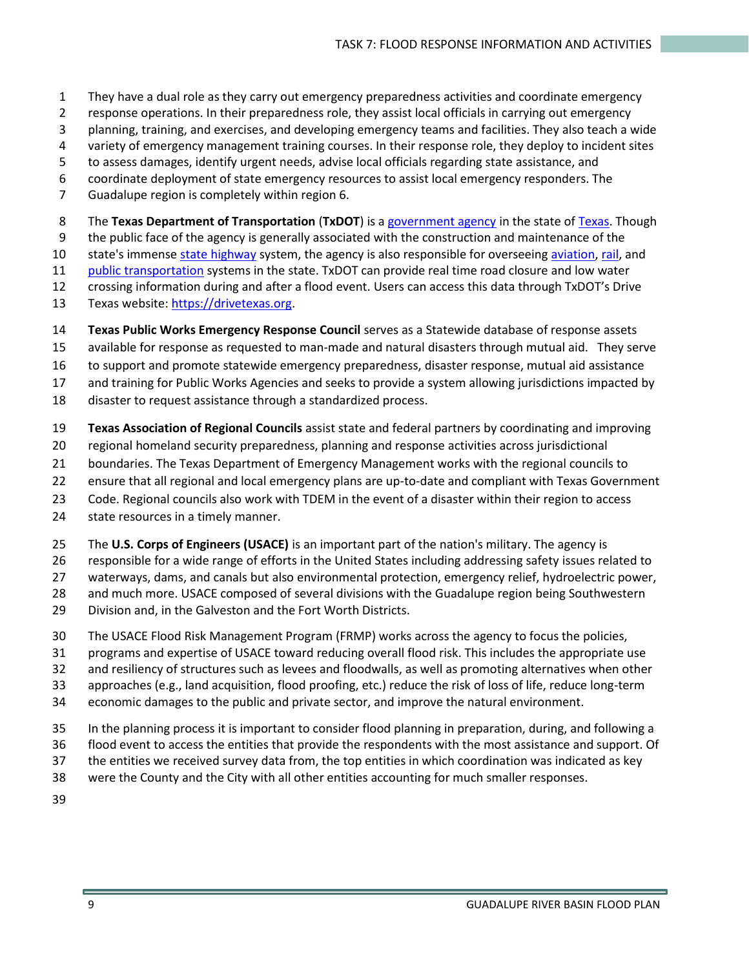- They have a dual role as they carry out emergency preparedness activities and coordinate emergency
- response operations. In their preparedness role, they assist local officials in carrying out emergency
- planning, training, and exercises, and developing emergency teams and facilities. They also teach a wide
- variety of emergency management training courses. In their response role, they deploy to incident sites
- to assess damages, identify urgent needs, advise local officials regarding state assistance, and
- coordinate deployment of state emergency resources to assist local emergency responders. The
- Guadalupe region is completely within region 6.

The **Texas Department of Transportation** (**TxDOT**) is a [government agency](https://en.wikipedia.org/wiki/Government_agency) in the state of [Texas.](https://en.wikipedia.org/wiki/Texas) Though

the public face of the agency is generally associated with the construction and maintenance of the

10 state's immense [state highway](https://en.wikipedia.org/wiki/State_highway) system, the agency is also responsible for overseein[g aviation,](https://en.wikipedia.org/wiki/Aviation) [rail,](https://en.wikipedia.org/wiki/Rail_transport) and

- [public transportation](https://en.wikipedia.org/wiki/Public_transport) systems in the state. TxDOT can provide real time road closure and low water
- crossing information during and after a flood event. Users can access this data through TxDOT's Drive
- Texas website: [https://drivetexas.org.](https://drivetexas.org/)
- **Texas Public Works Emergency Response Council** serves as a Statewide database of response assets
- available for response as requested to man-made and natural disasters through mutual aid. They serve
- to support and promote statewide emergency preparedness, disaster response, mutual aid assistance
- and training for Public Works Agencies and seeks to provide a system allowing jurisdictions impacted by
- disaster to request assistance through a standardized process.
- **Texas Association of Regional Councils** assist state and federal partners by coordinating and improving
- regional homeland security preparedness, planning and response activities across jurisdictional
- boundaries. The Texas Department of Emergency Management works with the regional councils to
- ensure that all regional and local emergency plans are up-to-date and compliant with Texas Government
- Code. Regional councils also work with TDEM in the event of a disaster within their region to access
- state resources in a timely manner.
- The **U.S. Corps of Engineers (USACE)** is an important part of the nation's military. The agency is
- responsible for a wide range of efforts in the United States including addressing safety issues related to
- waterways, dams, and canals but also environmental protection, emergency relief, hydroelectric power,
- and much more. USACE composed of several divisions with the Guadalupe region being Southwestern
- Division and, in the Galveston and the Fort Worth Districts.
- The USACE Flood Risk Management Program (FRMP) works across the agency to focus the policies,
- programs and expertise of USACE toward reducing overall flood risk. This includes the appropriate use
- and resiliency of structures such as levees and floodwalls, as well as promoting alternatives when other
- approaches (e.g., land acquisition, flood proofing, etc.) reduce the risk of loss of life, reduce long-term
- economic damages to the public and private sector, and improve the natural environment.
- In the planning process it is important to consider flood planning in preparation, during, and following a
- flood event to access the entities that provide the respondents with the most assistance and support. Of
- the entities we received survey data from, the top entities in which coordination was indicated as key
- were the County and the City with all other entities accounting for much smaller responses.
-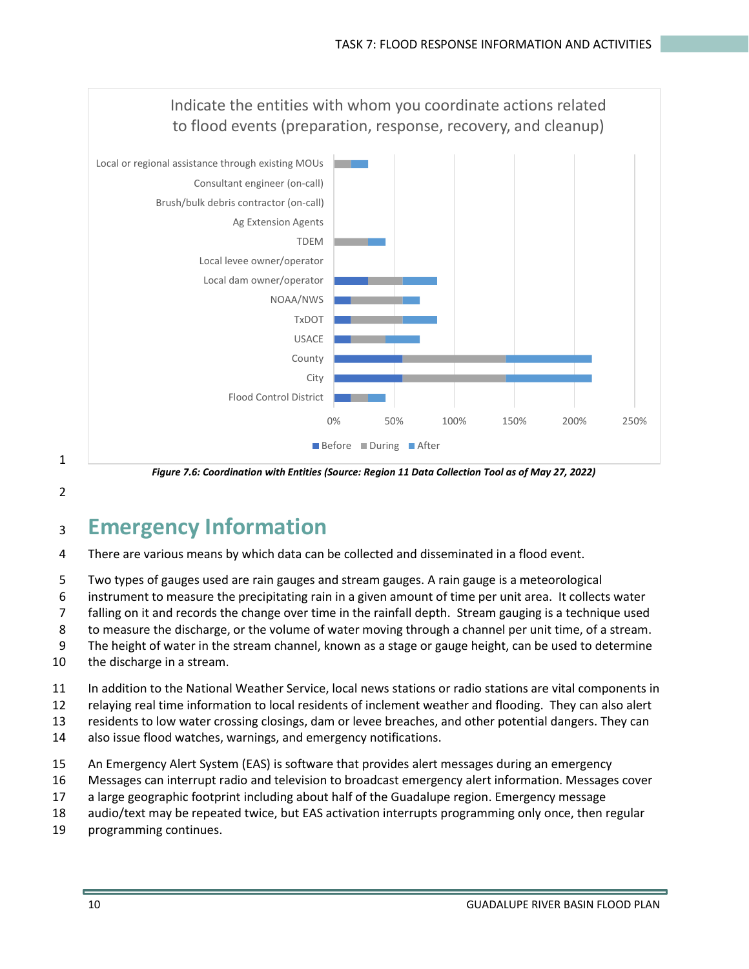

*Figure 7.6: Coordination with Entities (Source: Region 11 Data Collection Tool as of May 27, 2022)*

1

# <sup>3</sup> **Emergency Information**

- 4 There are various means by which data can be collected and disseminated in a flood event.
- 5 Two types of gauges used are rain gauges and stream gauges. A rain gauge is a meteorological
- 6 instrument to measure the precipitating rain in a given amount of time per unit area. It collects water
- 7 falling on it and records the change over time in the rainfall depth. Stream gauging is a technique used
- 8 to measure the discharge, or the volume of water moving through a channel per unit time, of a stream.
- 9 The height of water in the stream channel, known as a stage or gauge height, can be used to determine
- 10 the discharge in a stream.
- 11 In addition to the National Weather Service, local news stations or radio stations are vital components in
- 12 relaying real time information to local residents of inclement weather and flooding. They can also alert
- 13 residents to low water crossing closings, dam or levee breaches, and other potential dangers. They can
- 14 also issue flood watches, warnings, and emergency notifications.
- 15 An Emergency Alert System (EAS) is software that provides alert messages during an emergency
- 16 Messages can interrupt radio and television to broadcast emergency alert information. Messages cover
- 17 a large geographic footprint including about half of the Guadalupe region. Emergency message
- 18 audio/text may be repeated twice, but EAS activation interrupts programming only once, then regular
- 19 programming continues.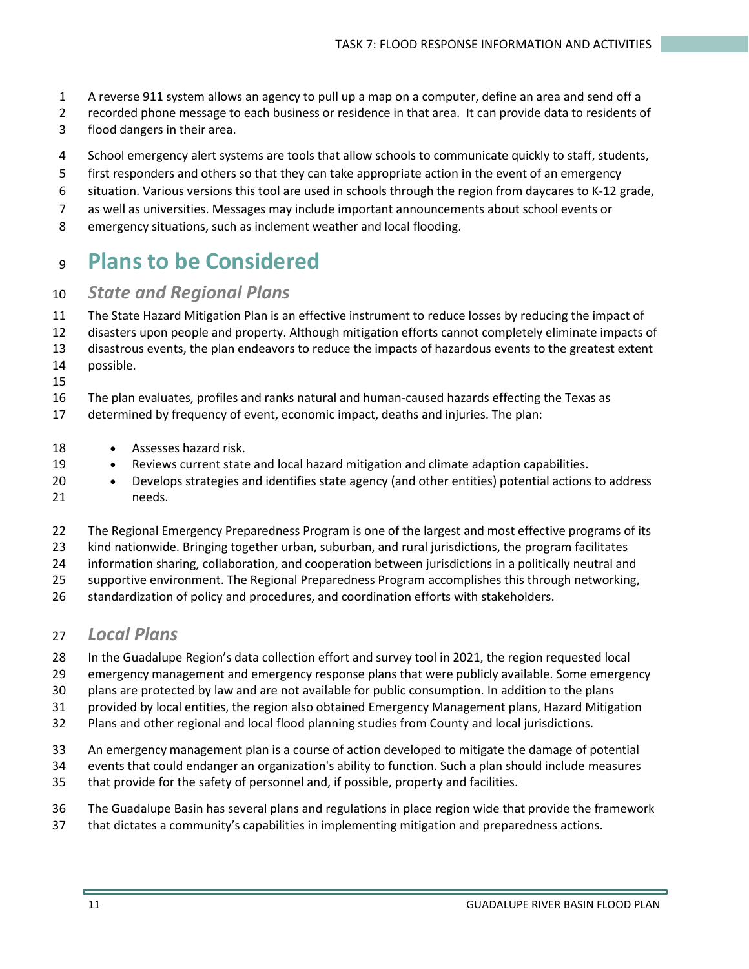- A reverse 911 system allows an agency to pull up a map on a computer, define an area and send off a
- recorded phone message to each business or residence in that area. It can provide data to residents of
- flood dangers in their area.
- School emergency alert systems are tools that allow schools to communicate quickly to staff, students,
- first responders and others so that they can take appropriate action in the event of an emergency
- situation. Various versions this tool are used in schools through the region from daycares to K-12 grade,
- as well as universities. Messages may include important announcements about school events or
- emergency situations, such as inclement weather and local flooding.

# **Plans to be Considered**

### *State and Regional Plans*

- The State Hazard Mitigation Plan is an effective instrument to reduce losses by reducing the impact of
- disasters upon people and property. Although mitigation efforts cannot completely eliminate impacts of
- disastrous events, the plan endeavors to reduce the impacts of hazardous events to the greatest extent
- possible.
- The plan evaluates, profiles and ranks natural and human-caused hazards effecting the Texas as
- determined by frequency of event, economic impact, deaths and injuries. The plan:
- Assesses hazard risk.
- Reviews current state and local hazard mitigation and climate adaption capabilities.
- Develops strategies and identifies state agency (and other entities) potential actions to address needs.
- The Regional Emergency Preparedness Program is one of the largest and most effective programs of its
- kind nationwide. Bringing together urban, suburban, and rural jurisdictions, the program facilitates
- information sharing, collaboration, and cooperation between jurisdictions in a politically neutral and
- supportive environment. The Regional Preparedness Program accomplishes this through networking,
- standardization of policy and procedures, and coordination efforts with stakeholders.

### *Local Plans*

- In the Guadalupe Region's data collection effort and survey tool in 2021, the region requested local
- emergency management and emergency response plans that were publicly available. Some emergency
- plans are protected by law and are not available for public consumption. In addition to the plans
- provided by local entities, the region also obtained Emergency Management plans, Hazard Mitigation
- Plans and other regional and local flood planning studies from County and local jurisdictions.
- An emergency management plan is a course of action developed to mitigate the damage of potential
- events that could endanger an organization's ability to function. Such a plan should include measures
- that provide for the safety of personnel and, if possible, property and facilities.
- The Guadalupe Basin has several plans and regulations in place region wide that provide the framework
- that dictates a community's capabilities in implementing mitigation and preparedness actions.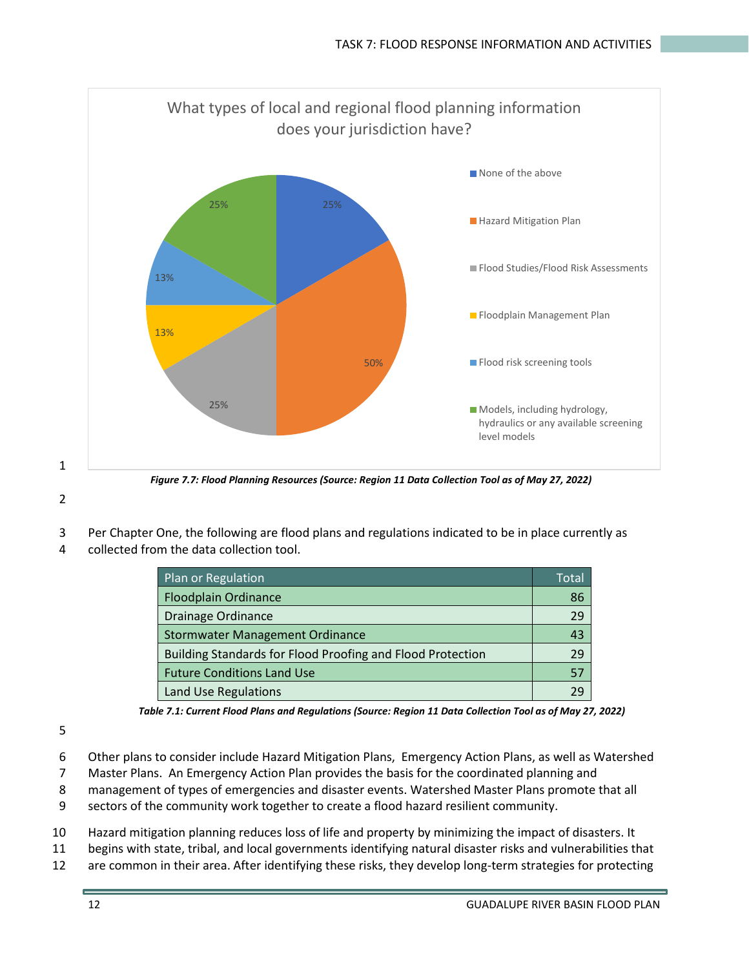

1

*Figure 7.7: Flood Planning Resources (Source: Region 11 Data Collection Tool as of May 27, 2022)*

- 3 Per Chapter One, the following are flood plans and regulations indicated to be in place currently as
- 4 collected from the data collection tool.

| Plan or Regulation                                         | Total |
|------------------------------------------------------------|-------|
| <b>Floodplain Ordinance</b>                                | 86    |
| Drainage Ordinance                                         | 29    |
| <b>Stormwater Management Ordinance</b>                     | 43    |
| Building Standards for Flood Proofing and Flood Protection | 29    |
| <b>Future Conditions Land Use</b>                          | 57    |
| Land Use Regulations                                       |       |

*Table 7.1: Current Flood Plans and Regulations (Source: Region 11 Data Collection Tool as of May 27, 2022)*

- 6 Other plans to consider include Hazard Mitigation Plans, Emergency Action Plans, as well as Watershed
- 7 Master Plans. An Emergency Action Plan provides the basis for the coordinated planning and
- 8 management of types of emergencies and disaster events. Watershed Master Plans promote that all
- 9 sectors of the community work together to create a flood hazard resilient community.
- 10 Hazard mitigation planning reduces loss of life and property by minimizing the impact of disasters. It
- 11 begins with state, tribal, and local governments identifying natural disaster risks and vulnerabilities that
- 12 are common in their area. After identifying these risks, they develop long-term strategies for protecting